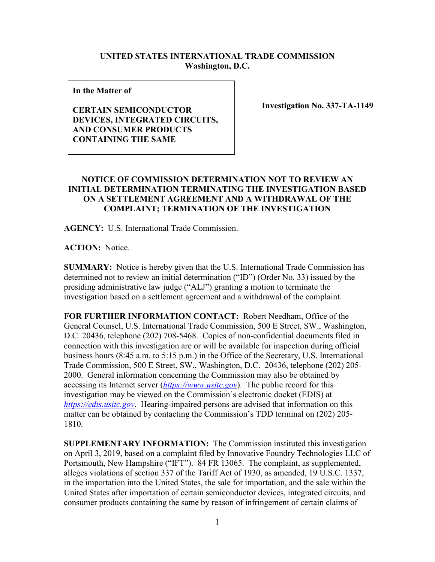## **UNITED STATES INTERNATIONAL TRADE COMMISSION Washington, D.C.**

**In the Matter of** 

**CERTAIN SEMICONDUCTOR DEVICES, INTEGRATED CIRCUITS, AND CONSUMER PRODUCTS CONTAINING THE SAME**

**Investigation No. 337-TA-1149**

## **NOTICE OF COMMISSION DETERMINATION NOT TO REVIEW AN INITIAL DETERMINATION TERMINATING THE INVESTIGATION BASED ON A SETTLEMENT AGREEMENT AND A WITHDRAWAL OF THE COMPLAINT; TERMINATION OF THE INVESTIGATION**

**AGENCY:** U.S. International Trade Commission.

**ACTION:** Notice.

**SUMMARY:** Notice is hereby given that the U.S. International Trade Commission has determined not to review an initial determination ("ID") (Order No. 33) issued by the presiding administrative law judge ("ALJ") granting a motion to terminate the investigation based on a settlement agreement and a withdrawal of the complaint.

**FOR FURTHER INFORMATION CONTACT:** Robert Needham, Office of the General Counsel, U.S. International Trade Commission, 500 E Street, SW., Washington, D.C. 20436, telephone (202) 708-5468. Copies of non-confidential documents filed in connection with this investigation are or will be available for inspection during official business hours (8:45 a.m. to 5:15 p.m.) in the Office of the Secretary, U.S. International Trade Commission, 500 E Street, SW., Washington, D.C. 20436, telephone (202) 205- 2000. General information concerning the Commission may also be obtained by accessing its Internet server (*[https://www.usitc.gov](https://www.usitc.gov/)*). The public record for this investigation may be viewed on the Commission's electronic docket (EDIS) at *[https://edis.usitc.gov](https://edis.usitc.gov/)*. Hearing-impaired persons are advised that information on this matter can be obtained by contacting the Commission's TDD terminal on (202) 205- 1810.

**SUPPLEMENTARY INFORMATION:** The Commission instituted this investigation on April 3, 2019, based on a complaint filed by Innovative Foundry Technologies LLC of Portsmouth, New Hampshire ("IFT"). 84 FR 13065. The complaint, as supplemented, alleges violations of section 337 of the Tariff Act of 1930, as amended, 19 U.S.C. 1337, in the importation into the United States, the sale for importation, and the sale within the United States after importation of certain semiconductor devices, integrated circuits, and consumer products containing the same by reason of infringement of certain claims of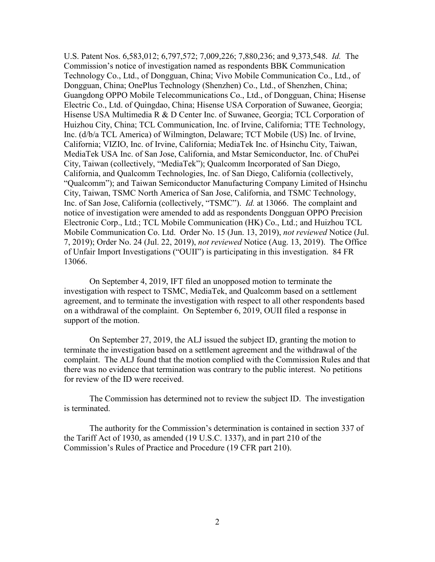U.S. Patent Nos. 6,583,012; 6,797,572; 7,009,226; 7,880,236; and 9,373,548. *Id.* The Commission's notice of investigation named as respondents BBK Communication Technology Co., Ltd., of Dongguan, China; Vivo Mobile Communication Co., Ltd., of Dongguan, China; OnePlus Technology (Shenzhen) Co., Ltd., of Shenzhen, China; Guangdong OPPO Mobile Telecommunications Co., Ltd., of Dongguan, China; Hisense Electric Co., Ltd. of Quingdao, China; Hisense USA Corporation of Suwanee, Georgia; Hisense USA Multimedia R & D Center Inc. of Suwanee, Georgia; TCL Corporation of Huizhou City, China; TCL Communication, Inc. of Irvine, California; TTE Technology, Inc. (d/b/a TCL America) of Wilmington, Delaware; TCT Mobile (US) Inc. of Irvine, California; VIZIO, Inc. of Irvine, California; MediaTek Inc. of Hsinchu City, Taiwan, MediaTek USA Inc. of San Jose, California, and Mstar Semiconductor, Inc. of ChuPei City, Taiwan (collectively, "MediaTek"); Qualcomm Incorporated of San Diego, California, and Qualcomm Technologies, Inc. of San Diego, California (collectively, "Qualcomm"); and Taiwan Semiconductor Manufacturing Company Limited of Hsinchu City, Taiwan, TSMC North America of San Jose, California, and TSMC Technology, Inc. of San Jose, California (collectively, "TSMC"). *Id.* at 13066. The complaint and notice of investigation were amended to add as respondents Dongguan OPPO Precision Electronic Corp., Ltd.; TCL Mobile Communication (HK) Co., Ltd.; and Huizhou TCL Mobile Communication Co. Ltd. Order No. 15 (Jun. 13, 2019), *not reviewed* Notice (Jul. 7, 2019); Order No. 24 (Jul. 22, 2019), *not reviewed* Notice (Aug. 13, 2019). The Office of Unfair Import Investigations ("OUII") is participating in this investigation. 84 FR 13066.

On September 4, 2019, IFT filed an unopposed motion to terminate the investigation with respect to TSMC, MediaTek, and Qualcomm based on a settlement agreement, and to terminate the investigation with respect to all other respondents based on a withdrawal of the complaint. On September 6, 2019, OUII filed a response in support of the motion.

On September 27, 2019, the ALJ issued the subject ID, granting the motion to terminate the investigation based on a settlement agreement and the withdrawal of the complaint. The ALJ found that the motion complied with the Commission Rules and that there was no evidence that termination was contrary to the public interest. No petitions for review of the ID were received.

The Commission has determined not to review the subject ID. The investigation is terminated.

The authority for the Commission's determination is contained in section 337 of the Tariff Act of 1930, as amended (19 U.S.C. 1337), and in part 210 of the Commission's Rules of Practice and Procedure (19 CFR part 210).